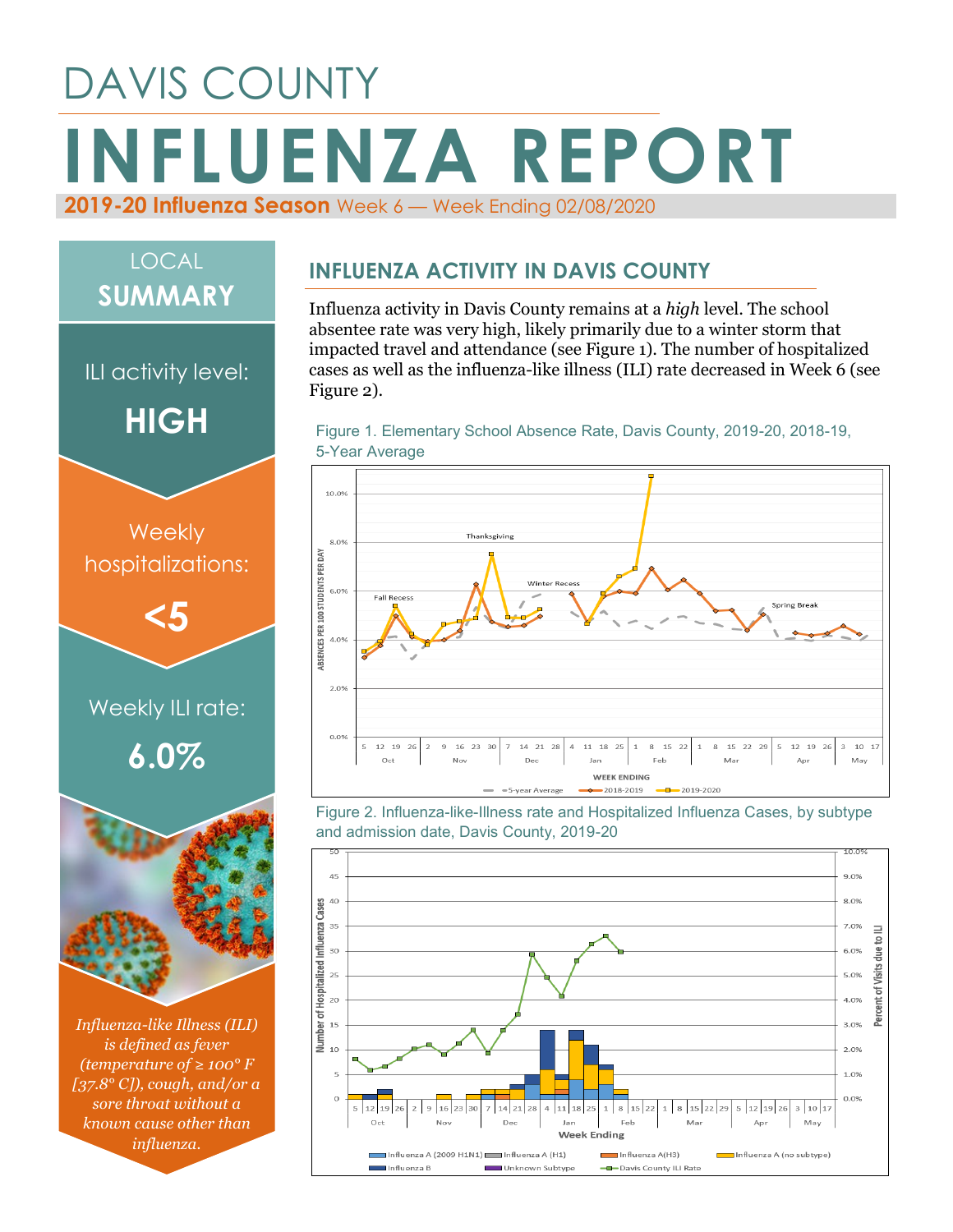# DAVIS COUNTY **INFLUENZA REPORT 2019-20 Influenza Season** Week 6 — Week Ending 02/08/2020

## LOCAL **SUMMARY**

ILI activity level:

**HIGH**



*Influenza-like Illness (ILI) is defined as fever (temperature of ≥ 100° F [37.8° C]), cough, and/or a sore throat without a known cause other than influenza.*

#### **INFLUENZA ACTIVITY IN DAVIS COUNTY**

Influenza activity in Davis County remains at a *high* level. The school absentee rate was very high, likely primarily due to a winter storm that impacted travel and attendance (see Figure 1). The number of hospitalized cases as well as the influenza-like illness (ILI) rate decreased in Week 6 (see Figure 2).





Figure 2. Influenza-like-Illness rate and Hospitalized Influenza Cases, by subtype and admission date, Davis County, 2019-20